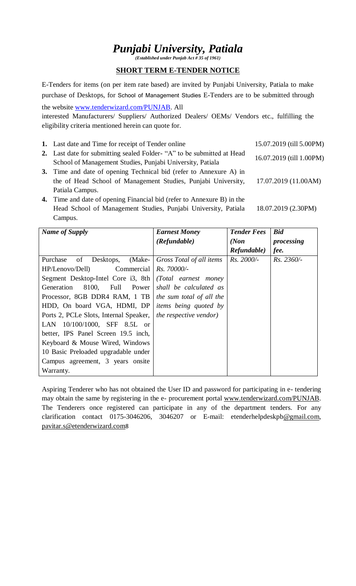# *Punjabi University, Patiala*

*(Established under Punjab Act # 35 of 1961)*

### **SHORT TERM E-TENDER NOTICE**

E-Tenders for items (on per item rate based) are invited by Punjabi University, Patiala to make purchase of Desktops, for School of Management Studies E-Tenders are to be submitted through

the website [www.tenderwizard.com/PUNJAB.](http://www.tenderwizard.com/PUNJAB) All

interested Manufacturers/ Suppliers/ Authorized Dealers/ OEMs/ Vendors etc., fulfilling the eligibility criteria mentioned herein can quote for.

- **1.** Last date and Time for receipt of Tender online 15.07.2019 (till 5.00PM)
- **2.** Last date for submitting sealed Folder- "A" to be submitted at Head School of Management Studies, Punjabi University, Patiala
- **3.** Time and date of opening Technical bid (refer to Annexure A) in the of Head School of Management Studies, Punjabi University, Patiala Campus.
- **4.** Time and date of opening Financial bid (refer to Annexure B) in the Head School of Management Studies, Punjabi University, Patiala Campus. 18.07.2019 (2.30PM)

| <b>Name of Supply</b>                                                                                                                                                                                                                                                                                                                                                                                                                                                                     | <b>Earnest Money</b><br>(Refundable)                                                                                                                        | <b>Tender Fees</b><br>(Non)<br>Refundable) | <b>Bid</b><br>processing<br>fee. |
|-------------------------------------------------------------------------------------------------------------------------------------------------------------------------------------------------------------------------------------------------------------------------------------------------------------------------------------------------------------------------------------------------------------------------------------------------------------------------------------------|-------------------------------------------------------------------------------------------------------------------------------------------------------------|--------------------------------------------|----------------------------------|
| Desktops, (Make-<br>Purchase<br>of<br>HP/Lenovo/Dell)<br>Commercial<br>Segment Desktop-Intel Core i3, 8th<br>8100.<br>Full Power<br>Generation<br>Processor, 8GB DDR4 RAM, 1 TB   the sum total of all the<br>HDD, On board VGA, HDMI, DP<br>Ports 2, PCLe Slots, Internal Speaker,<br>LAN $10/100/1000$ , SFF 8.5L or<br>better, IPS Panel Screen 19.5 inch,<br>Keyboard & Mouse Wired, Windows<br>10 Basic Preloaded upgradable under<br>Campus agreement, 3 years on site<br>Warranty. | Gross Total of all items<br>Rs. 70000/-<br>(Total earnest money)<br>shall be calculated as<br><i>items being quoted by</i><br><i>the respective vendor)</i> | $Rs.~2000/-$                               | $Rs. 2360/-$                     |

Aspiring Tenderer who has not obtained the User ID and password for participating in e- tendering may obtain the same by registering in the e- procurement portal [www.tenderwizard.com/PUNJAB.](http://www.tenderwizard.com/PUNJAB) The Tenderers once registered can participate in any of the department tenders. For any clarification contact 0175-3046206, 3046207 or E-mail: etenderhelpdeskp[b@gmail.com,](mailto:@gmail.com) [pavitar.s@etenderwizard.com](mailto:pavitar.s@etenderwizard.com)8

16.07.2019 (till 1.00PM)

17.07.2019 (11.00AM)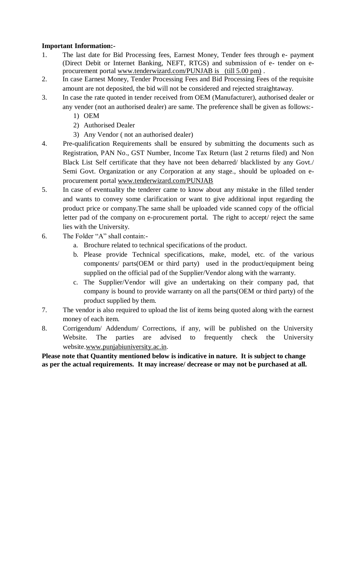## **Important Information:-**

- 1. The last date for Bid Processing fees, Earnest Money, Tender fees through e- payment (Direct Debit or Internet Banking, NEFT, RTGS) and submission of e- tender on eprocurement portal [www.tenderwizard.com/PUNJAB is](http://www.tenderwizard.com/PUNJAB%20is%2024.06.2019) (till 5.00 pm) .
- 2. In case Earnest Money, Tender Processing Fees and Bid Processing Fees of the requisite amount are not deposited, the bid will not be considered and rejected straightaway.
- 3. In case the rate quoted in tender received from OEM (Manufacturer), authorised dealer or any vender (not an authorised dealer) are same. The preference shall be given as follows:-
	- 1) OEM
	- 2) Authorised Dealer
	- 3) Any Vendor ( not an authorised dealer)
- 4. Pre-qualification Requirements shall be ensured by submitting the documents such as Registration, PAN No., GST Number, Income Tax Return (last 2 returns filed) and Non Black List Self certificate that they have not been debarred/ blacklisted by any Govt./ Semi Govt. Organization or any Corporation at any stage., should be uploaded on eprocurement portal [www.tenderwizard.com/PUNJAB](http://www.tenderwizard.com/PUNJAB)
- 5. In case of eventuality the tenderer came to know about any mistake in the filled tender and wants to convey some clarification or want to give additional input regarding the product price or company.The same shall be uploaded vide scanned copy of the official letter pad of the company on e-procurement portal. The right to accept/ reject the same lies with the University.
- 6. The Folder "A" shall contain:
	- a. Brochure related to technical specifications of the product.
	- b. Please provide Technical specifications, make, model, etc. of the various components/ parts(OEM or third party) used in the product/equipment being supplied on the official pad of the Supplier/Vendor along with the warranty.
	- c. The Supplier/Vendor will give an undertaking on their company pad, that company is bound to provide warranty on all the parts(OEM or third party) of the product supplied by them.
- 7. The vendor is also required to upload the list of items being quoted along with the earnest money of each item.
- 8. Corrigendum/ Addendum/ Corrections, if any, will be published on the University Website. The parties are advised to frequently check the University website[.www.punjabiuniversity.ac.in.](http://www.punjabiuniversity.ac.in/)

**Please note that Quantity mentioned below is indicative in nature. It is subject to change as per the actual requirements. It may increase/ decrease or may not be purchased at all.**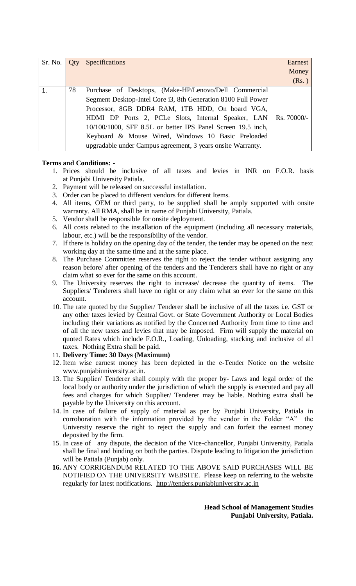| Sr. No. | Qty | Specifications                                                   | Earnest |
|---------|-----|------------------------------------------------------------------|---------|
|         |     |                                                                  | Money   |
|         |     |                                                                  | (Rs.)   |
|         | 78  | Purchase of Desktops, (Make-HP/Lenovo/Dell Commercial            |         |
|         |     | Segment Desktop-Intel Core i3, 8th Generation 8100 Full Power    |         |
|         |     | Processor, 8GB DDR4 RAM, 1TB HDD, On board VGA,                  |         |
|         |     | HDMI DP Ports 2, PCLe Slots, Internal Speaker, LAN   Rs. 70000/- |         |
|         |     | 10/100/1000, SFF 8.5L or better IPS Panel Screen 19.5 inch,      |         |
|         |     | Keyboard & Mouse Wired, Windows 10 Basic Preloaded               |         |
|         |     | upgradable under Campus agreement, 3 years onsite Warranty.      |         |

#### **Terms and Conditions: -**

- 1. Prices should be inclusive of all taxes and levies in INR on F.O.R. basis at Punjabi University Patiala.
- 2. Payment will be released on successful installation.
- 3. Order can be placed to different vendors for different Items.
- 4. All items, OEM or third party, to be supplied shall be amply supported with onsite warranty. All RMA, shall be in name of Punjabi University, Patiala.
- 5. Vendor shall be responsible for onsite deployment.
- 6. All costs related to the installation of the equipment (including all necessary materials, labour, etc.) will be the responsibility of the vendor.
- 7. If there is holiday on the opening day of the tender, the tender may be opened on the next working day at the same time and at the same place.
- 8. The Purchase Committee reserves the right to reject the tender without assigning any reason before/ after opening of the tenders and the Tenderers shall have no right or any claim what so ever for the same on this account.
- 9. The University reserves the right to increase/ decrease the quantity of items. The Suppliers/ Tenderers shall have no right or any claim what so ever for the same on this account.
- 10. The rate quoted by the Supplier/ Tenderer shall be inclusive of all the taxes i.e. GST or any other taxes levied by Central Govt. or State Government Authority or Local Bodies including their variations as notified by the Concerned Authority from time to time and of all the new taxes and levies that may be imposed. Firm will supply the material on quoted Rates which include F.O.R., Loading, Unloading, stacking and inclusive of all taxes. Nothing Extra shall be paid.
- 11. **Delivery Time: 30 Days (Maximum)**
- 12. Item wise earnest money has been depicted in the e-Tender Notice on the website www.punjabiuniversity.ac.in.
- 13. The Supplier/ Tenderer shall comply with the proper by- Laws and legal order of the local body or authority under the jurisdiction of which the supply is executed and pay all fees and charges for which Supplier/ Tenderer may be liable. Nothing extra shall be payable by the University on this account.
- 14. In case of failure of supply of material as per by Punjabi University, Patiala in corroboration with the information provided by the vendor in the Folder "A" the University reserve the right to reject the supply and can forfeit the earnest money deposited by the firm.
- 15. In case of any dispute, the decision of the Vice-chancellor, Punjabi University, Patiala shall be final and binding on both the parties. Dispute leading to litigation the jurisdiction will be Patiala (Punjab) only.
- **16.** ANY CORRIGENDUM RELATED TO THE ABOVE SAID PURCHASES WILL BE NOTIFIED ON THE UNIVERSITY WEBSITE. Please keep on referring to the website regularly for latest notifications. [http://tenders.punjabiuniversity.ac.in](http://tenders.punjabiuniversity.ac.in/)

**Head School of Management Studies Punjabi University, Patiala.**